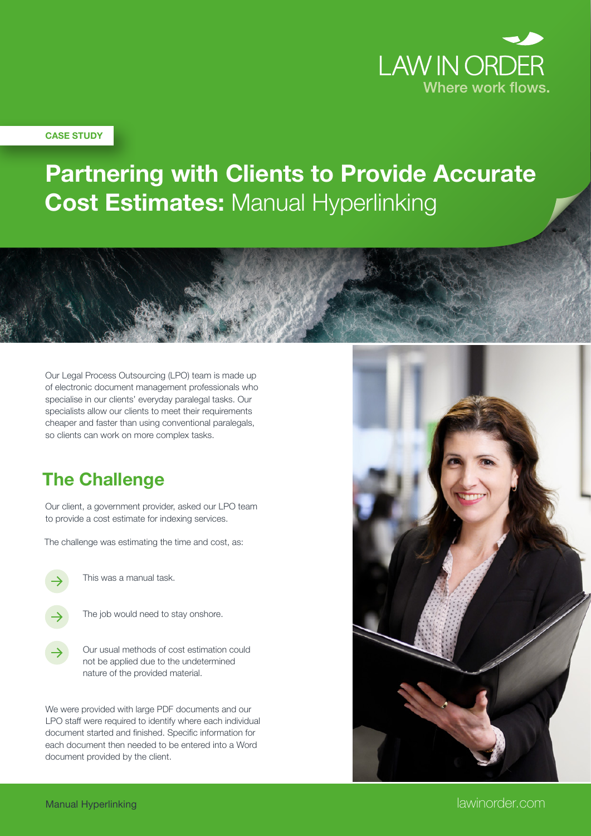

#### **CASE STUDY**

# **Partnering with Clients to Provide Accurate Cost Estimates:** Manual Hyperlinking

Our Legal Process Outsourcing (LPO) team is made up of electronic document management professionals who specialise in our clients' everyday paralegal tasks. Our specialists allow our clients to meet their requirements cheaper and faster than using conventional paralegals, so clients can work on more complex tasks.

### **The Challenge**

Our client, a government provider, asked our LPO team to provide a cost estimate for indexing services.

The challenge was estimating the time and cost, as:



This was a manual task.

The job would need to stay onshore.

Our usual methods of cost estimation could not be applied due to the undetermined nature of the provided material.

We were provided with large PDF documents and our LPO staff were required to identify where each individual document started and finished. Specific information for each document then needed to be entered into a Word document provided by the client.